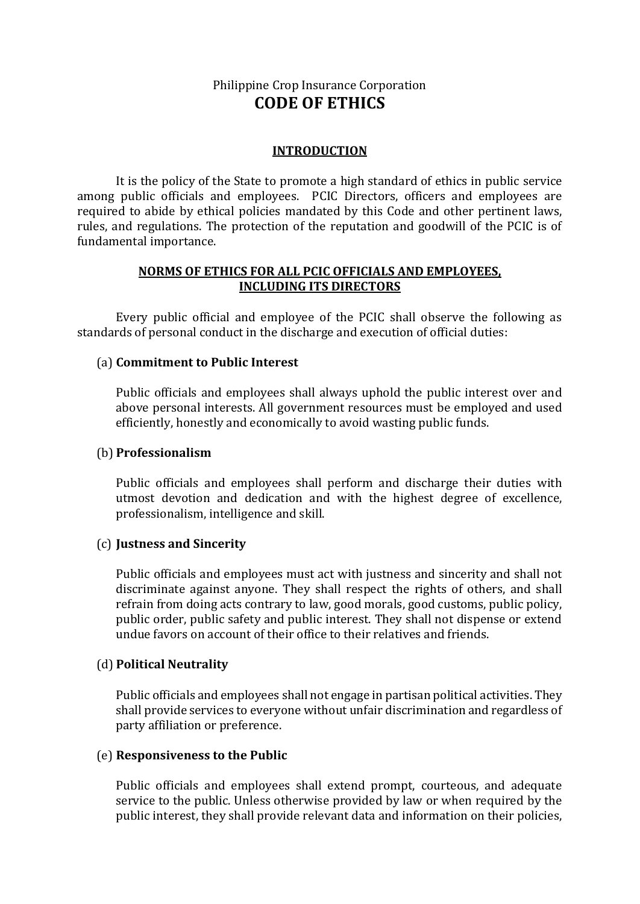# Philippine Crop Insurance Corporation **CODE OF ETHICS**

### **INTRODUCTION**

It is the policy of the State to promote a high standard of ethics in public service among public officials and employees. PCIC Directors, officers and employees are required to abide by ethical policies mandated by this Code and other pertinent laws, rules, and regulations. The protection of the reputation and goodwill of the PCIC is of fundamental importance.

### **NORMS OF ETHICS FOR ALL PCIC OFFICIALS AND EMPLOYEES, INCLUDING ITS DIRECTORS**

Every public official and employee of the PCIC shall observe the following as standards of personal conduct in the discharge and execution of official duties:

### (a) **Commitment to Public Interest**

Public officials and employees shall always uphold the public interest over and above personal interests. All government resources must be employed and used efficiently, honestly and economically to avoid wasting public funds.

### (b) **Professionalism**

Public officials and employees shall perform and discharge their duties with utmost devotion and dedication and with the highest degree of excellence, professionalism, intelligence and skill.

### (c) **Justness and Sincerity**

Public officials and employees must act with justness and sincerity and shall not discriminate against anyone. They shall respect the rights of others, and shall refrain from doing acts contrary to law, good morals, good customs, public policy, public order, public safety and public interest. They shall not dispense or extend undue favors on account of their office to their relatives and friends.

# (d) **Political Neutrality**

Public officials and employees shall not engage in partisan political activities. They shall provide services to everyone without unfair discrimination and regardless of party affiliation or preference.

### (e) **Responsiveness to the Public**

Public officials and employees shall extend prompt, courteous, and adequate service to the public. Unless otherwise provided by law or when required by the public interest, they shall provide relevant data and information on their policies,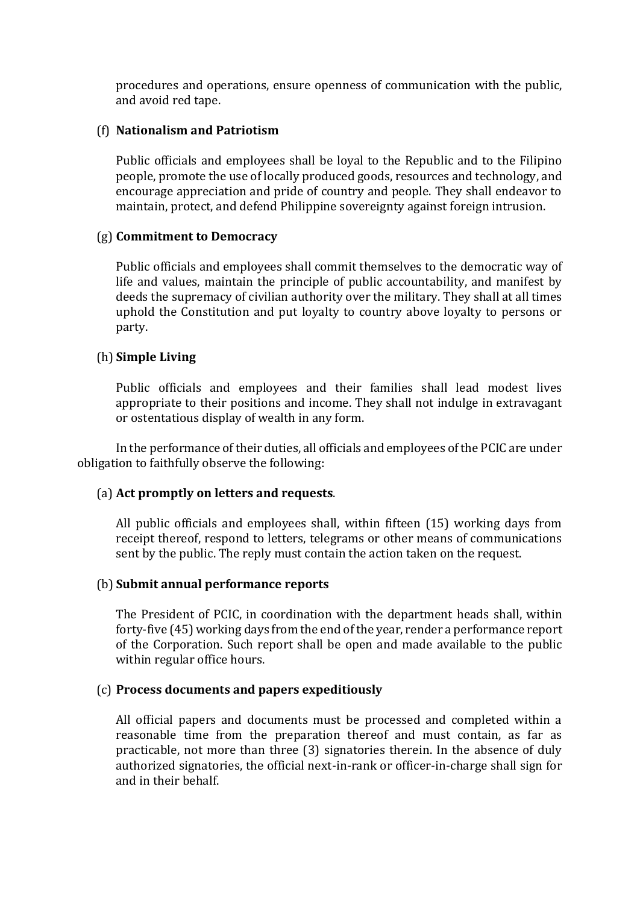procedures and operations, ensure openness of communication with the public, and avoid red tape.

### (f) **Nationalism and Patriotism**

Public officials and employees shall be loyal to the Republic and to the Filipino people, promote the use of locally produced goods, resources and technology, and encourage appreciation and pride of country and people. They shall endeavor to maintain, protect, and defend Philippine sovereignty against foreign intrusion.

### (g) **Commitment to Democracy**

Public officials and employees shall commit themselves to the democratic way of life and values, maintain the principle of public accountability, and manifest by deeds the supremacy of civilian authority over the military. They shall at all times uphold the Constitution and put loyalty to country above loyalty to persons or party.

### (h) **Simple Living**

Public officials and employees and their families shall lead modest lives appropriate to their positions and income. They shall not indulge in extravagant or ostentatious display of wealth in any form.

In the performance of their duties, all officials and employees of the PCIC are under obligation to faithfully observe the following:

# (a) **Act promptly on letters and requests**.

All public officials and employees shall, within fifteen (15) working days from receipt thereof, respond to letters, telegrams or other means of communications sent by the public. The reply must contain the action taken on the request.

### (b) **Submit annual performance reports**

The President of PCIC, in coordination with the department heads shall, within forty-five (45) working days from the end of the year, render a performance report of the Corporation. Such report shall be open and made available to the public within regular office hours.

# (c) **Process documents and papers expeditiously**

All official papers and documents must be processed and completed within a reasonable time from the preparation thereof and must contain, as far as practicable, not more than three (3) signatories therein. In the absence of duly authorized signatories, the official next-in-rank or officer-in-charge shall sign for and in their behalf.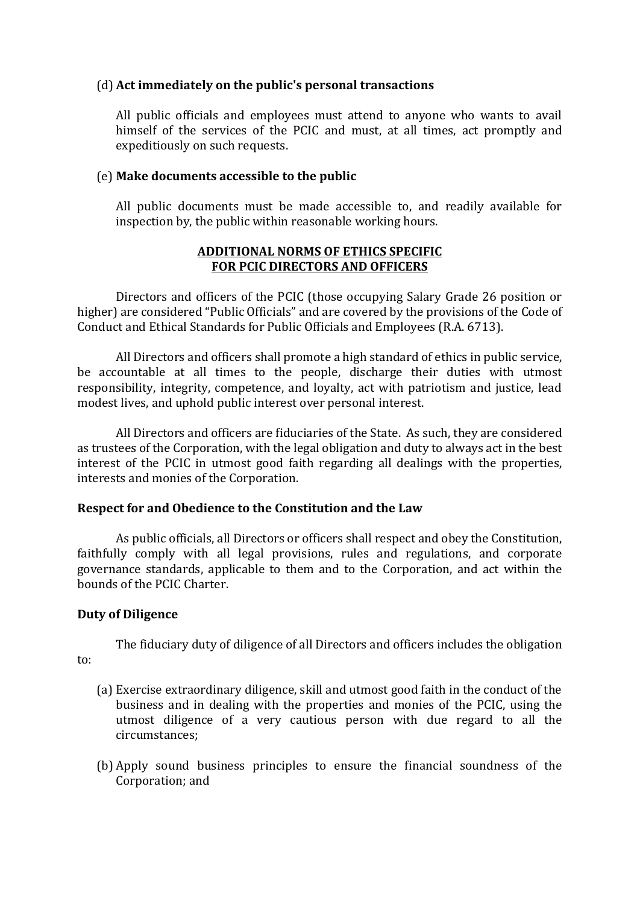### (d) **Act immediately on the public's personal transactions**

All public officials and employees must attend to anyone who wants to avail himself of the services of the PCIC and must, at all times, act promptly and expeditiously on such requests.

### (e) **Make documents accessible to the public**

All public documents must be made accessible to, and readily available for inspection by, the public within reasonable working hours.

### **ADDITIONAL NORMS OF ETHICS SPECIFIC FOR PCIC DIRECTORS AND OFFICERS**

Directors and officers of the PCIC (those occupying Salary Grade 26 position or higher) are considered "Public Officials" and are covered by the provisions of the Code of Conduct and Ethical Standards for Public Officials and Employees (R.A. 6713).

All Directors and officers shall promote a high standard of ethics in public service, be accountable at all times to the people, discharge their duties with utmost responsibility, integrity, competence, and loyalty, act with patriotism and justice, lead modest lives, and uphold public interest over personal interest.

All Directors and officers are fiduciaries of the State. As such, they are considered as trustees of the Corporation, with the legal obligation and duty to always act in the best interest of the PCIC in utmost good faith regarding all dealings with the properties, interests and monies of the Corporation.

# **Respect for and Obedience to the Constitution and the Law**

As public officials, all Directors or officers shall respect and obey the Constitution, faithfully comply with all legal provisions, rules and regulations, and corporate governance standards, applicable to them and to the Corporation, and act within the bounds of the PCIC Charter.

# **Duty of Diligence**

The fiduciary duty of diligence of all Directors and officers includes the obligation to:

- (a) Exercise extraordinary diligence, skill and utmost good faith in the conduct of the business and in dealing with the properties and monies of the PCIC, using the utmost diligence of a very cautious person with due regard to all the circumstances;
- (b) Apply sound business principles to ensure the financial soundness of the Corporation; and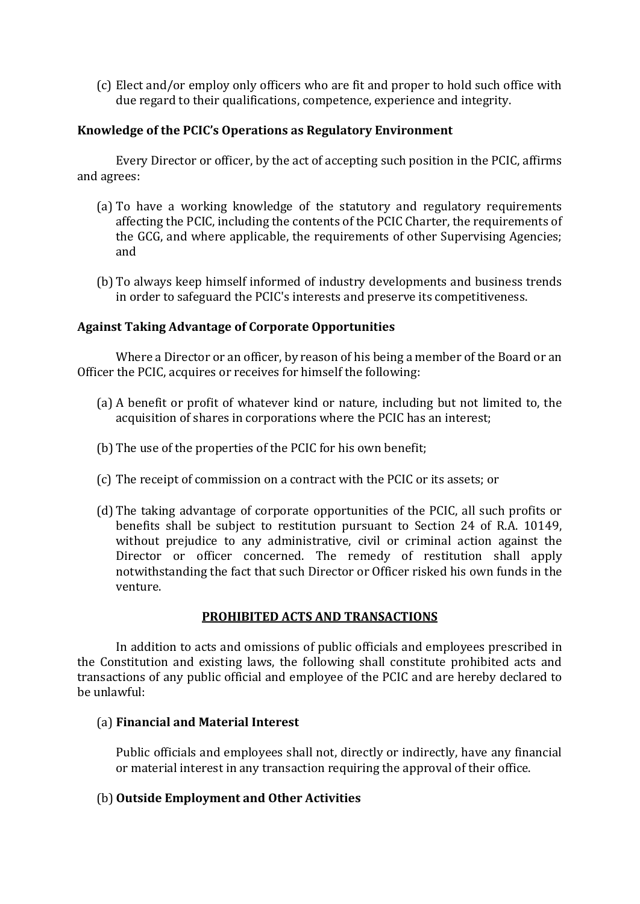(c) Elect and/or employ only officers who are fit and proper to hold such office with due regard to their qualifications, competence, experience and integrity.

### **Knowledge of the PCIC's Operations as Regulatory Environment**

Every Director or officer, by the act of accepting such position in the PCIC, affirms and agrees:

- (a) To have a working knowledge of the statutory and regulatory requirements affecting the PCIC, including the contents of the PCIC Charter, the requirements of the GCG, and where applicable, the requirements of other Supervising Agencies; and
- (b) To always keep himself informed of industry developments and business trends in order to safeguard the PCIC's interests and preserve its competitiveness.

### **Against Taking Advantage of Corporate Opportunities**

Where a Director or an officer, by reason of his being a member of the Board or an Officer the PCIC, acquires or receives for himself the following:

- (a) A benefit or profit of whatever kind or nature, including but not limited to, the acquisition of shares in corporations where the PCIC has an interest;
- (b) The use of the properties of the PCIC for his own benefit;
- (c) The receipt of commission on a contract with the PCIC or its assets; or
- (d) The taking advantage of corporate opportunities of the PCIC, all such profits or benefits shall be subject to restitution pursuant to Section 24 of R.A. 10149, without prejudice to any administrative, civil or criminal action against the Director or officer concerned. The remedy of restitution shall apply notwithstanding the fact that such Director or Officer risked his own funds in the venture.

### **PROHIBITED ACTS AND TRANSACTIONS**

In addition to acts and omissions of public officials and employees prescribed in the Constitution and existing laws, the following shall constitute prohibited acts and transactions of any public official and employee of the PCIC and are hereby declared to be unlawful:

### (a) **Financial and Material Interest**

Public officials and employees shall not, directly or indirectly, have any financial or material interest in any transaction requiring the approval of their office.

### (b) **Outside Employment and Other Activities**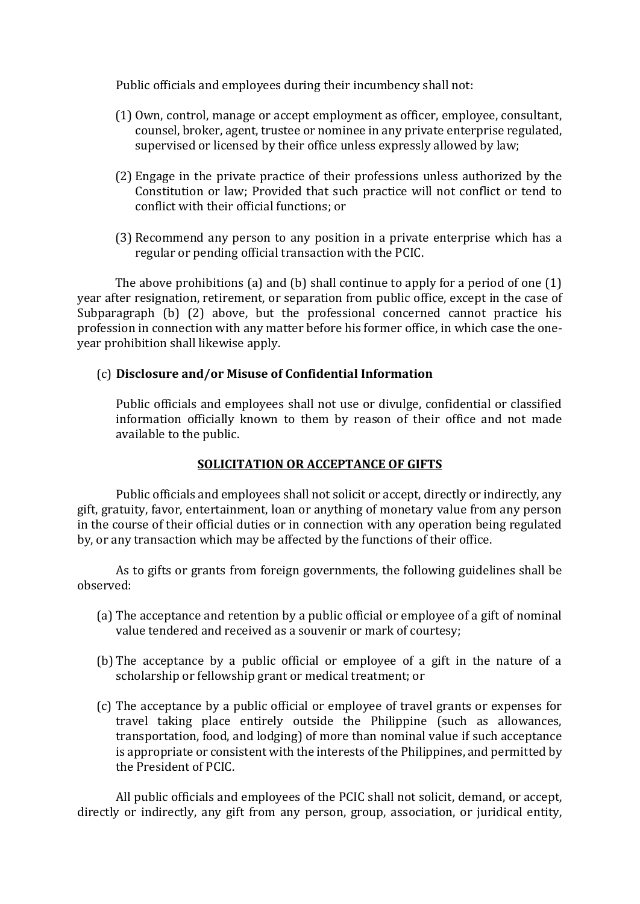Public officials and employees during their incumbency shall not:

- (1) Own, control, manage or accept employment as officer, employee, consultant, counsel, broker, agent, trustee or nominee in any private enterprise regulated, supervised or licensed by their office unless expressly allowed by law;
- (2) Engage in the private practice of their professions unless authorized by the Constitution or law; Provided that such practice will not conflict or tend to conflict with their official functions; or
- (3) Recommend any person to any position in a private enterprise which has a regular or pending official transaction with the PCIC.

The above prohibitions (a) and (b) shall continue to apply for a period of one (1) year after resignation, retirement, or separation from public office, except in the case of Subparagraph (b) (2) above, but the professional concerned cannot practice his profession in connection with any matter before his former office, in which case the oneyear prohibition shall likewise apply.

# (c) **Disclosure and/or Misuse of Confidential Information**

Public officials and employees shall not use or divulge, confidential or classified information officially known to them by reason of their office and not made available to the public.

# **SOLICITATION OR ACCEPTANCE OF GIFTS**

Public officials and employees shall not solicit or accept, directly or indirectly, any gift, gratuity, favor, entertainment, loan or anything of monetary value from any person in the course of their official duties or in connection with any operation being regulated by, or any transaction which may be affected by the functions of their office.

As to gifts or grants from foreign governments, the following guidelines shall be observed:

- (a) The acceptance and retention by a public official or employee of a gift of nominal value tendered and received as a souvenir or mark of courtesy;
- (b) The acceptance by a public official or employee of a gift in the nature of a scholarship or fellowship grant or medical treatment; or
- (c) The acceptance by a public official or employee of travel grants or expenses for travel taking place entirely outside the Philippine (such as allowances, transportation, food, and lodging) of more than nominal value if such acceptance is appropriate or consistent with the interests of the Philippines, and permitted by the President of PCIC.

All public officials and employees of the PCIC shall not solicit, demand, or accept, directly or indirectly, any gift from any person, group, association, or juridical entity,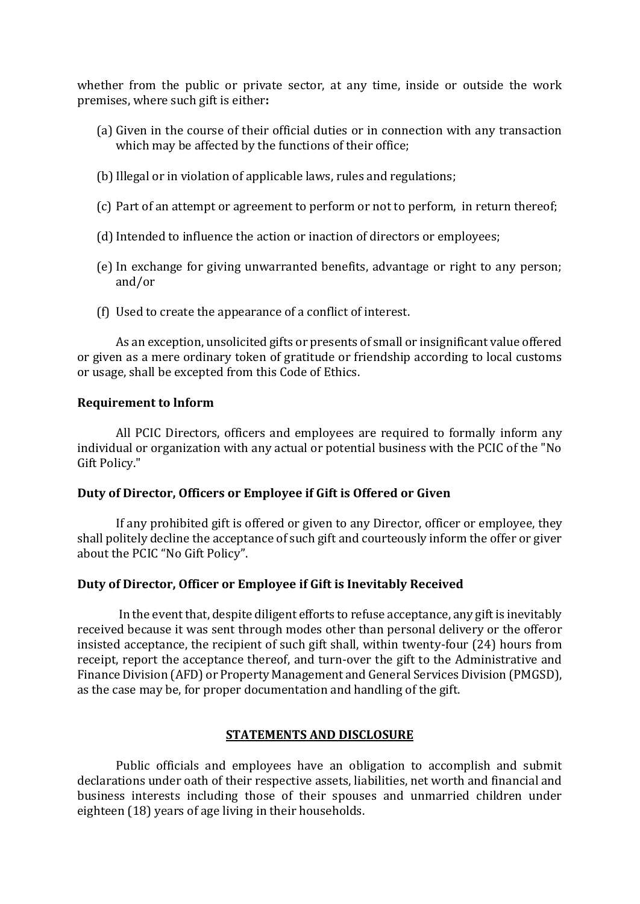whether from the public or private sector, at any time, inside or outside the work premises, where such gift is either**:**

- (a) Given in the course of their official duties or in connection with any transaction which may be affected by the functions of their office;
- (b) Illegal or in violation of applicable laws, rules and regulations;
- (c) Part of an attempt or agreement to perform or not to perform, in return thereof;
- (d) Intended to influence the action or inaction of directors or employees;
- (e) In exchange for giving unwarranted benefits, advantage or right to any person; and/or
- (f) Used to create the appearance of a conflict of interest.

As an exception, unsolicited gifts or presents of small or insignificant value offered or given as a mere ordinary token of gratitude or friendship according to local customs or usage, shall be excepted from this Code of Ethics.

### **Requirement to lnform**

All PCIC Directors, officers and employees are required to formally inform any individual or organization with any actual or potential business with the PCIC of the "No Gift Policy."

### **Duty of Director, Officers or Employee if Gift is Offered or Given**

If any prohibited gift is offered or given to any Director, officer or employee, they shall politely decline the acceptance of such gift and courteously inform the offer or giver about the PCIC "No Gift Policy".

### **Duty of Director, Officer or Employee if Gift is Inevitably Received**

In the event that, despite diligent efforts to refuse acceptance, any gift is inevitably received because it was sent through modes other than personal delivery or the offeror insisted acceptance, the recipient of such gift shall, within twenty-four (24) hours from receipt, report the acceptance thereof, and turn-over the gift to the Administrative and Finance Division (AFD) or Property Management and General Services Division (PMGSD), as the case may be, for proper documentation and handling of the gift.

### **STATEMENTS AND DISCLOSURE**

Public officials and employees have an obligation to accomplish and submit declarations under oath of their respective assets, liabilities, net worth and financial and business interests including those of their spouses and unmarried children under eighteen (18) years of age living in their households.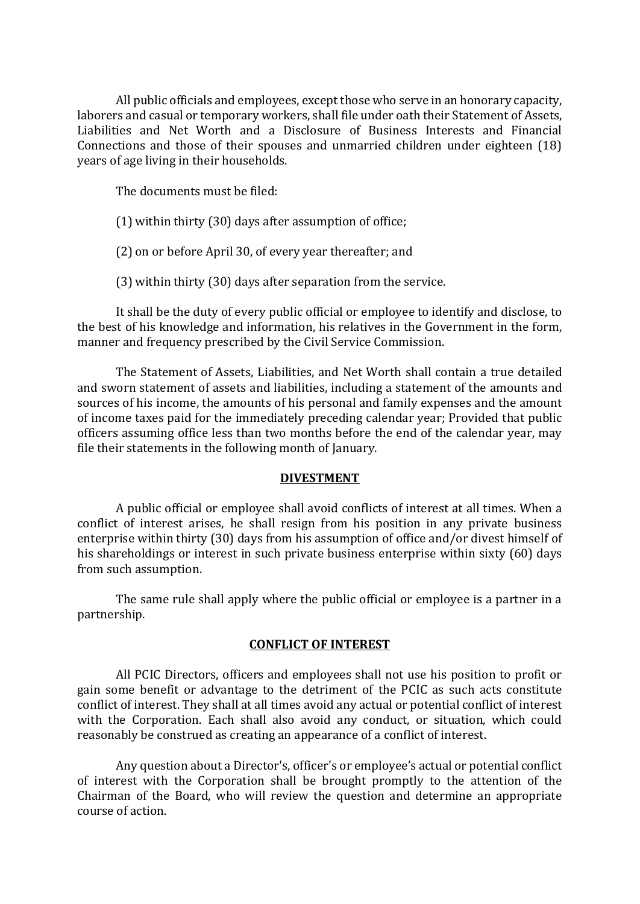All public officials and employees, except those who serve in an honorary capacity, laborers and casual or temporary workers, shall file under oath their Statement of Assets, Liabilities and Net Worth and a Disclosure of Business Interests and Financial Connections and those of their spouses and unmarried children under eighteen (18) years of age living in their households.

The documents must be filed:

(1) within thirty (30) days after assumption of office;

(2) on or before April 30, of every year thereafter; and

(3) within thirty (30) days after separation from the service.

It shall be the duty of every public official or employee to identify and disclose, to the best of his knowledge and information, his relatives in the Government in the form, manner and frequency prescribed by the Civil Service Commission.

The Statement of Assets, Liabilities, and Net Worth shall contain a true detailed and sworn statement of assets and liabilities, including a statement of the amounts and sources of his income, the amounts of his personal and family expenses and the amount of income taxes paid for the immediately preceding calendar year; Provided that public officers assuming office less than two months before the end of the calendar year, may file their statements in the following month of January.

### **DIVESTMENT**

A public official or employee shall avoid conflicts of interest at all times. When a conflict of interest arises, he shall resign from his position in any private business enterprise within thirty (30) days from his assumption of office and/or divest himself of his shareholdings or interest in such private business enterprise within sixty (60) days from such assumption.

The same rule shall apply where the public official or employee is a partner in a partnership.

### **CONFLICT OF INTEREST**

All PCIC Directors, officers and employees shall not use his position to profit or gain some benefit or advantage to the detriment of the PCIC as such acts constitute conflict of interest. They shall at all times avoid any actual or potential conflict of interest with the Corporation. Each shall also avoid any conduct, or situation, which could reasonably be construed as creating an appearance of a conflict of interest.

Any question about a Director's, officer's or employee's actual or potential conflict of interest with the Corporation shall be brought promptly to the attention of the Chairman of the Board, who will review the question and determine an appropriate course of action.